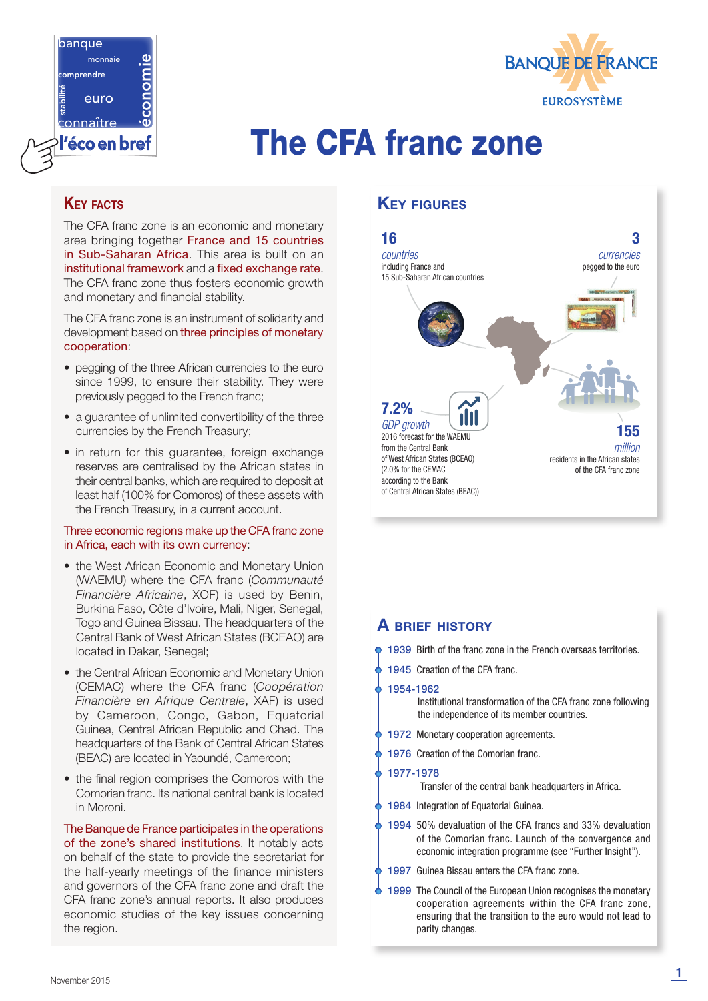



# l'écoenbref The CFA franc zone

## **KEY FACTS**

The CFA franc zone is an economic and monetary area bringing together France and 15 countries in Sub-Saharan Africa. This area is built on an institutional framework and a fixed exchange rate. The CFA franc zone thus fosters economic growth and monetary and financial stability.

The CFA franc zone is an instrument of solidarity and development based on three principles of monetary cooperation:

- pegging of the three African currencies to the euro since 1999, to ensure their stability. They were previously pegged to the French franc;
- a guarantee of unlimited convertibility of the three currencies by the French Treasury;
- in return for this quarantee, foreign exchange reserves are centralised by the African states in their central banks, which are required to deposit at least half (100% for Comoros) of these assets with the French Treasury, in a current account.

#### Three economic regions make up the CFA franc zone in Africa, each with its own currency:

- the West African Economic and Monetary Union (WAEMU) where the CFA franc (*Communauté Financière Africaine*, XOF) is used by Benin, Burkina Faso, Côte d'Ivoire, Mali, Niger, Senegal, Togo and Guinea Bissau. The headquarters of the Central Bank of West African States (BCEAO) are located in Dakar, Senegal;
- the Central African Economic and Monetary Union (CEMAC) where the CFA franc (*Coopération Financière en Afrique Centrale*, XAF) is used by Cameroon, Congo, Gabon, Equatorial Guinea, Central African Republic and Chad. The headquarters of the Bank of Central African States (BEAC) are located in Yaoundé, Cameroon;
- the final region comprises the Comoros with the Comorian franc. Its national central bank is located in Moroni.

The Banque de France participates in the operations of the zone's shared institutions. It notably acts on behalf of the state to provide the secretariat for the half-yearly meetings of the finance ministers and governors of the CFA franc zone and draft the CFA franc zone's annual reports. It also produces economic studies of the key issues concerning the region.

## Key figures



#### A brief history

|           | <b>1939</b> Birth of the franc zone in the French overseas territories.                                                                                                                                     |
|-----------|-------------------------------------------------------------------------------------------------------------------------------------------------------------------------------------------------------------|
|           | <b>1945</b> Creation of the CFA franc.                                                                                                                                                                      |
| 1954-1962 | Institutional transformation of the CFA franc zone following<br>the independence of its member countries.                                                                                                   |
|           | 1972 Monetary cooperation agreements.                                                                                                                                                                       |
|           | 1976 Creation of the Comorian franc.                                                                                                                                                                        |
| 1977-1978 | Transfer of the central bank headquarters in Africa.                                                                                                                                                        |
|           | <b>1984</b> Integration of Equatorial Guinea.                                                                                                                                                               |
|           | 1994 50% devaluation of the CFA francs and 33% devaluation<br>of the Comorian franc. Launch of the convergence and<br>economic integration programme (see "Further Insight").                               |
|           | <b>1997</b> Guinea Bissau enters the CFA franc zone.                                                                                                                                                        |
|           | <b>1999</b> The Council of the European Union recognises the monetary<br>cooperation agreements within the CFA franc zone,<br>ensuring that the transition to the euro would not lead to<br>parity changes. |